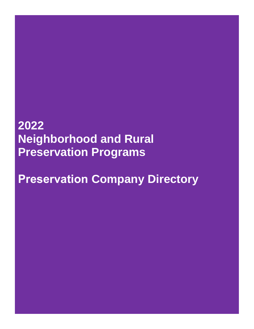# **2022 Neighborhood and Rural Preservation Programs**

**Preservation Company Directory**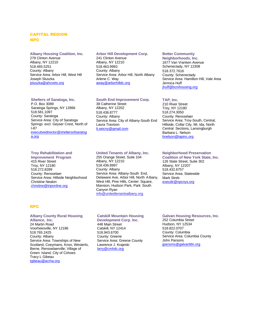## CAPITAL REGION NPC

**Albany Housing Coalition, Inc.** 278 Clinton Avenue Albany, NY 12210 518.465.5251 County: Albany Service Area: Arbor Hill, West Hill Joseph Sluszka [jsluszka@ahcvets.org](mailto:jsluszka@ahcvets.org)

#### **Arbor Hill Development Corp.**

241 Clinton Avenue Albany, NY 12210 518.463.9993 County: Albany Service Area: Arbor Hill, North Albany Arlene C. Way [away@arborhilldc.org](mailto:away@arborhilldc.org)

#### **Shelters of Saratoga, Inc.**

P.O. Box 3089 Saratoga Springs, NY 12866 518.581.1097 County: Saratoga Service Area: City of Saratoga Springs excl. Geyser Crest, North of I-87 [executivedirector@sheltersofsaratog](mailto:executivedirector@sheltersofsaratoga.org) [a.org](mailto:executivedirector@sheltersofsaratoga.org)

## **Troy Rehabilitation and**

**Improvement Program** 415 River Street Troy, NY 12180 518.272.8289 County: Rensselaer Service Area: Hillside Neighborhood Christine Nealon [christine@triponline.org](mailto:christine@triponline.org)

#### **South End Improvement Corp.**

38 Catherine Street Albany, NY 12202 518.436.8777 County: Albany Service Area: City of Albany-South End Laura Travison [lt.seicny@gmail.com](mailto:lt.seicny@gmail.com)

#### **United Tenants of Albany, Inc.**

255 Orange Street, Suite 104 Albany, NY 12210 518.436.8997 County: Albany Service Area: Albany-South End, Delaware Ave, Arbor Hill, North Albany, West Hill, Pine Hills, Center Square, Mansion, Hudson Park, Park South Canyon Ryan [info@unitedtenantsalbany.org](mailto:info@unitedtenantsalbany.org)

## **Better Community**

**Neighborhoods, Inc.** 1677 Van Vranken Avenue Schenectady, NY 12308 518.372.7616 County: Schenectady Service Area: Hamilton Hill, Vale Area Jennica Huff [jhuff@bcnihousing.org](mailto:jhuff@bcnihousing.org)

#### **TAP, Inc.**

210 River Street Troy, NY 12180 518.274.3050 County: Rensselaer Service Area: Troy-South, Central, Hillside, Collar City, Mt. Ida, North Central Sections, Lansingburgh Barbara L. Nelson [bnelson@tapinc.org](mailto:bnelson@tapinc.org)

## **Neighborhood Preservation**

**Coalition of New York State, Inc.** 126 State Street, Suite 302 Albany, NY 12207 518.432.6757 Service Area; Statewide Mark Streb [execdir@npcnys.org](mailto:execdir@npcnys.org)

## RPC

#### **Albany County Rural Housing Alliance, Inc.** 24 Martin Road Voorheesville, NY 12186 518.765.2425 County: Albany Service Area: Townships of New Scotland, Coeymans, Knox, Westerlo, Berne, Rensselaerville; Village of Green Island; City of Cohoes Tracy L Gibeau [tgibeau@acrha.org](mailto:tgibeau@acrha.org)

#### **Catskill Mountain Housing Development Corp. Inc.** 448 Main Street Catskill, NY 12414 518.943.6700 County: Greene Service Area: Greene County Lawrence J. Krajeski [larry@cmhdc.org](mailto:larry@cmhdc.org)

#### **Galvan Housing Resources, Inc.**

252 Columbia Street Hudson, NY 12534 518.822.0707 County: Columbia Service Area: Columbia County John Parsons [jparsons@galvanfdn.org](mailto:jparsons@galvanfdn.org)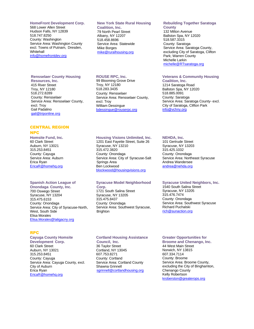#### **HomeFront Development Corp.**

568 Lower Allen Street Hudson Falls, NY 12839 518.747.8250 County: Washington Service Area: Washington County excl. Towns of Putnam, Dresden, **Whitehall** [info@homefrontdev.org](mailto:info@homefrontdev.org)

#### **Rensselaer County Housing**

**Resources, Inc.** 415 River Street Troy, NY 12180 518.272.8289 County: Rensselaer Service Area: Rensselaer County, excl. Troy Gail Padalino [gail@triponline.org](mailto:gail@triponline.org)

## CENTRAL REGION

#### NPC

**Homsite Fund, Inc.** 60 Clark Street Auburn, NY 13021 315.253.8451 County: Cayuga Service Area: Auburn Erica Ryan [EricaR@homehq.org](mailto:EricaR@homehq.org)

## **Spanish Action League of**

**Onondaga County, Inc.** 700 Oswego Street Syracuse, NY 13204 315.475.6153 County: Onondaga Service Area: City of Syracuse-North, West, South Side Elisa Morales Elisa.Morales@laligacny.org

## RPC

**Cayuga County Homsite Development Corp.** 60 Clark Street Auburn, NY 13021 315.253.8451 County: Cayuga Service Area: Cayuga County, excl. City of Auburn Erica Ryan [EricaR@homehq.org](mailto:EricaR@homehq.org)

## **New York State Rural Housing**

**Coalition, Inc.** 79 North Pearl Street Albany, NY 12207 518.458.8696 Service Area: Statewide Mike Borges [mike@ruralhousing.org](mailto:mike@ruralhousing.org)

#### **ROUSE RPC, Inc.**

99 Blooming Grove Drive Troy, NY 12180 518.283.3435 County: Rensselaer Service Area: Rensselaer County, excl. Troy William Dessingue [bdessingue@rouserpc.org](mailto:bdessingue@rouserpc.org)

## **Rebuilding Together Saratoga**

**County** 132 Milton Avenue Ballston Spa, NY 12020 518.587.3315 County: Saratoga Service Area: Saratoga County, excluding City of Saratoga, Clifton Park; Warren County Michelle Larkin [michelle@RTsaratoga.org](mailto:michelle@RTsaratoga.org)

## **Veterans & Community Housing**

**Coalition, Inc.** 1214 Saratoga Road Ballston Spa, NY 12020 518.885.0091 County: Saratoga Service Area: Saratoga County- excl. City of Saratoga, Clifton Park [info@vchny.org](mailto:info@vchny.org)

## **Housing Visions Unlimited, Inc.**

1201 East Fayette Street, Suite 26 Syracuse, NY 13210 315.472.3820 County: Onondaga Service Area: City of Syracuse-Salt Springs Area Ben Lockwood [blockwood@housingvisions.org](mailto:blockwood@housingvisions.org)

## **Syracuse Model Neighborhood**

**Corp.** 1721 South Salina Street Syracuse, NY 13205 315.475.8437 County: Onondaga Service Area: Southwest Syracuse, **Brighton** 

## **NEHDA, Inc.**

101 Gertrude Street Syracuse, NY 13203 315.425.1032 County: Onondaga Service Area: Northeast Syracuse Andrea Wandersee andrea@nehda.org

#### **Syracuse United Neighbors, Inc.**

1540 South Salina Street Syracuse, NY 13205 315.476.7474 County: Onondaga Service Area: Southwest Syracuse Richard Puchalski [rich@sunaction.org](mailto:rich@sunaction.org)

## **Cortland Housing Assistance**

**Council, Inc.** 36 Taylor Street Cortland, NY 13045 607.753.8271 County: Cortland Service Area: Cortland County Shawna Grinnell [sgrinnell@cortlandhousing.org](mailto:sgrinnell@cortlandhousing.org)

#### **Greater Opportunities for**

**Broome and Chenango, Inc.** 44 West Main Street Norwich, NY 13815 607.334.7114 County: Broome Service Area: Broome County, excluding the City of Binghamton, Chenango County Kelly Robertson [kroberston@greaterops.org](mailto:kroberston@greaterops.org)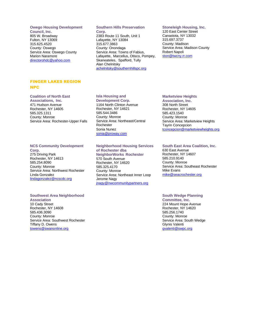#### **Owego Housing Development**

**Council, Inc.** 805 W. Broadway Fulton, NY 13069 315.625.4520 County: Oswego Service Area: Oswego County Marion Naramore [directorohdc@yahoo.com](mailto:directorohdc@yahoo.com)

## FINGER LAKES REGION NPC

#### **Coalition of North East**

**Associations, Inc.** 471 Hudson Avenue Rochester, NY 14605 585.325.1311 County: Monroe Service Area: Rochester-Upper Falls

## **NCS Community Development**

**Corp.** 275 Driving Park Rochester, NY 14613 585.254.8090 County: Monroe Service Area: Northwest Rochester Linda Gonzalez [lindagonzalez@ncscdc.org](mailto:lindagonzalez@ncscdc.org)

#### **Southwest Area Neighborhood**

**Association** 10 Cady Street Rochester, NY 14608 585.436.3090 County: Monroe Service Area: Southwest Rochester Tiffany D. Owens [towens@swanonline.org](file://///hcr-smb.dhcrnet.local/dhcr_shared/hpl_pubdata/ocr/Grant%20Administration/NPP%20RPP/Program%20Work%20Area/ED/Directory/towens@swanonline.org)

## **Southern Hills Preservation**

**Corp.** 2383 Route 11 South, Unit 1 Lafayette, NY 13084 315.677.3863 County: Onondaga Service Area: Towns of Fabius, Lafayette, Marcellus, Otisco, Pompey, Skaneateles, Spafford, Tully Alan Chelnitsky [achelnitsky@southernhillspc.org](mailto:achelnitsky@southernhillspc.org)

## **Stoneleigh Housing, Inc.**

120 East Center Street Canastota, NY 13032 315.697.3737 County: Madison Service Area: Madison County Robert Napoli [ston@twcny.rr.com](mailto:ston@twcny.rr.com)

## **Isla Housing and**

**Development Corp.** 1164 North Clinton Avenue Rochester, NY 14621 585.544.3486 County: Monroe Service Area: Northeast/Central Rochester Sonia Nunez [sonia@proway.com](mailto:sonia@proway.com)

## **Neighborhood Housing Services**

**of Rochester dba NeighborWorks Rochester** 570 South Avenue Rochester, NY 14620 585.325.4170 County: Monroe Service Area: Northeast Inner Loop Jerome Nagy jnagy@nwcommunitypartners.org

#### **Marketview Heights**

**Association, Inc.** 308 North Street Rochester, NY 14605 585.423.1540 County: Monroe Service Area: Marketview Heights Tayrin Concepcion [tconcepcion@marketviewheights.org](mailto:tconcepcion@marketviewheights.org)

## **South East Area Coalition, Inc.**

630 East Avenue Rochester, NY 14607 585.210.9140 County: Monroe Service Area: Southeast Rochester Mike Evans [mike@seacrochester.org](mailto:mike@seacrochester.org)

## **South Wedge Planning**

**Committee, Inc.** 224 Mount Hope Avenue Rochester, NY 14620 585.256.1740 County: Monroe Service Area: South Wedge Glynis Valenti [gvalenti@swpc.org](mailto:gvalenti@swpc.org)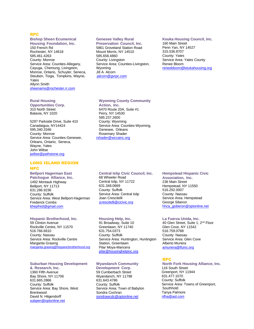## RPC

#### **Bishop Sheen Ecumenical Housing Foundation, Inc.**

150 French Rd Rochester, NY 14618 585.461.4263 County: Monroe Service Area: Counties-Allegany, Cayuga, Chemung, Livingston, Monroe, Ontario, Schuyler, Seneca, Steuben, Tioga, Tompkins, Wayne, Yates Allynn Smith [sheenams@rochester.rr.com](mailto:sheenams@rochester.rr.com)

## **Rural Housing**

#### **Opportunities Corp.** 310 North Street Batavia, NY 1020

5297 Parkside Drive, Suite 410 Canadaigua, NY14424 595.340.3346 County: Monroe Service Area: Counties-Genesee, Orleans, Ontario, Seneca, Wayne, Yates John Wiltse [jwiltse@pathstone.org](mailto:jwiltse@pathstone.org)

## LONG ISLAND REGION

#### NPC

**Bellport Hagerman East Patchogue Alliance, Inc.** 1492 Montauk Highway Bellport, NY 11713 631.286.9236 County: Suffolk Service Area: West Bellport-Hagerman Frederick Combs [bhepfred@gmail.com](mailto:bhepfred@gmail.com)

#### **Hispanic Brotherhood, Inc.**

59 Clinton Avenue Rockville Centre, NY 11570 516.766.6610 County: Nassau Service Area: Rockville Centre Margarita Grasing [margarita.grasing@hispanicbrotherhood.org](mailto:margarita.grasing@hispanicbrotherhood.org)

#### **Suburban Housing Development**

**& Research, Inc.** 1360 Fifth Avenue Bay Shore, NY 11706 631.665.2866 County: Suffolk Service Area: Bay Shore, West Brentwood David N. Hilgendorff [subpen@optonline.net](mailto:subpen@optonline.net)

## **Genesee Valley Rural**

**Preservation Council, Inc.** 5861 Groveland Station Road Mount Morris, NY 14510 585.658.4860 County: Livingston Service Area: Counties-Livingston, Wyoming Jill A. Alcorn [jalcorn@gvrpc.com](mailto:jalcorn@gvrpc.com)

## **Keuka Housing Council, Inc.**

160 Main Street Penn Yan, NY 14527 315.536.8707 County: Yates Service Area: Yates County Renee Bloom [reneebloom@keukahousing.org](mailto:reneebloom@keukahousing.org)

#### **Wyoming County Community Action, Inc.**

6470 Route 20A, Suite #1 Perry, NY 14530 585.237.2600 County: Wyoming Service Area: Counties-Wyoming, Genesee, Orleans Rosemary Shader rshader@wccainc.org

#### **Central Islip Civic Council, Inc.** 68 Wheeler Road Central Islip, NY 11722 631.348.0669 County: Suffolk Service Area: Central Islip Joan Crescitelli [jcrescitelli@cicivic.org](mailto:jcrescitelli@cicivic.org)

**Housing Help, Inc.** 91 Broadway, Suite 10 Greenlawn, NY 11740 631.754.0373 County: Suffolk Service Area: Huntington, Huntington Station, Greenlawn Pilar Moya-Mancera

#### **Wyandanch Community**

[pilar@housinghelpinc.org](mailto:pilar@housinghelpinc.org)

**Development Corp.** 59 Cumberbach Street Wyandanch, NY 11798 631.643.4786 County: Suffolk Service Area: Town of Babylon Sondra Cochran [sondrawcdc@optonline.net](mailto:sondrawcdc@optonline.net)

## **Hempstead Hispanic Civic**

**Association, Inc.** 236 Main Street Hempstead, NY 11550 516.292.0007 County: Nassau Service Area: Hempstead George Siberon [hhca\\_gsiberon@optonline.net](mailto:hhca_gsiberon@optonline.net)

#### **La Fuerza Unida, Inc.**

40 Glen Street, Suite 1, 2nd Floor Glen Cove, NY 11542 516.759.0788 County: Nassau Service Area: Glen Cove Alberto Munera [amunera@lfuinc.org](mailto:amunera@lfuinc.org)

## RPC

**North Fork Housing Alliance, Inc.** 116 South Street Greenport, NY 11944 631.477.1070 County: Suffolk Service Area: Towns of Greenport, Southhold Tanya Palmore [nfha@aol.com](mailto:nfha@aol.com)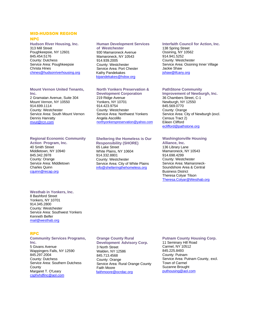#### MID-HUDSON REGION

## NPC

**Hudson River Housing, Inc.** 313 Mill Street Poughkeepsie, NY 12601 845.454.5176 County: Dutchess Service Area: Poughkeepsie Christa Hines [chines@hudsonriverhousing.org](mailto:chines@hudsonriverhousing.org)

#### **Mount Vernon United Tenants, Inc.**

2 Gramatan Avenue, Suite 304 Mount Vernon, NY 10550 914.699.1114 County: Westchester Service Area: South Mount Vernon Dennis Hanratty [mvut@rcn.com](mailto:mvut@erols.com)

## **Regional Economic Community**

**Action Program, Inc.** 40 Smith Street Middletown, NY 10940 845.342.3978 County: Orange Service Area: Middletown Charles Quinn [cquinn@recap.org](mailto:cquinn@recap.org)

## **Westhab in Yonkers, Inc.**

8 Bashford Street Yonkers, NY 10701 914.345.2800 County: Westchester Service Area: Southwest Yonkers Kenneth Belfer <mail@westhab.org>

## RPC

**Community Services Programs, Inc.** 5 Givans Avenue Wappingers Falls, NY 12590 845.297.2004 County: Dutchess Service Area: Southern Dutchess **County** Margaret T. O'Leary [csphvhdfinc@aol.com](mailto:csphvhdfinc@aol.com)

#### **Human Development Services**

**of Westchester** 930 Mamaroneck Avenue Mamaroneck, NY 10543 914.939.2005 County: Westchester Service Area: Port Chester Kathy Pandekakes [kipandekakes@hdsw.org](mailto:kipandekakes@hdsw.org)

## **North Yonkers Preservation &**

**Development Corporation** 219 Ridge Avenue Yonkers, NY 10701 914.423.9754 County: Westchester Service Area: Northwest Yonkers Angela Ascolillo [northyonkerspreservation@yahoo.com](mailto:northyonkerspreservation@yahoo.com)

## **Sheltering the Homeless is Our**

**Responsibility (SHORE)** 65 Lake Street White Plains, NY 10604 914.332.8801 County: Westchester Service Area: City of White Plains [info@shelteringthehomeless.org](mailto:info@shelteringthehomeless.org)

## **Interfaith Council for Action, Inc.**

138 Spring Street Ossining, NY 10562 914.941.5252 County: Westchester Service Area: Ossining Inner Village Jackie Shaw [jshaw@ifcany.org](mailto:kdattore@ifcany.org)

## **PathStone Community**

**Improvement of Newburgh, Inc.** 36 Chambers Street, C-1 Newburgh, NY 12550 845.569.0770 County: Orange Service Area: City of Newburgh (excl. Census Tract 2) Eileen Clifford [eclifford@pathstone.org](mailto:eclifford@pathstone.org)

## **Washingtonville Housing**

**Alliance, Inc.** 136 Library Lane Mamaroneck, NY 10543 914.698.4299 County: Westchester Service Area: Mamaroneck-Soundshore Area & Central Business District Theresa Colyar Tilson [Theresa.Colyar@Westhab.org](mailto:Theresa.Colyar@Westhab.org)

## **Orange County Rural**

**Development Advisory Corp.** 3 North Street Walden, NY 12586 845.713.4568 County: Orange Service Area: Rural Orange County Faith Moore [faithmoore@ocrdac.org](mailto:faithmoore@ocrdac.org)

## **Putnam County Housing Corp.**

11 Seminary Hill Road Carmel, NY 10512 845.225.8493 County: Putnam Service Area: Putnam County, excl. Town of Carmel Suzanne Brought [puthousing@aol.com](mailto:puthousing@aol.com)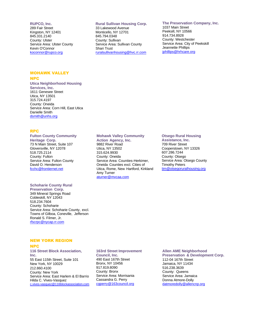#### **RUPCO, Inc.**

289 Fair Street Kingston, NY 12401 845.331.2140 County: Ulster Service Area: Ulster County Kevin O'Connor [koconnor@rupco.org](mailto:koconnor@rupco.org)

## MOHAWK VALLEY

#### NPC

**Utica Neighborhood Housing** 

**Services, Inc.** 1611 Genesee Street Utica, NY 13501 315.724.4197 County: Oneida Service Area: Corn Hill, East Utica Danielle Smith [dsmith@unhs.org](mailto:dsmith@unhs.org)

## RPC

#### **Fulton County Community**

**Heritage Corp.** 73 N Main Street, Suite 107 Gloversville, NY 12078 518.725.2114 County: Fulton Service Area: Fulton County David O. Henderson [fcchc@frontiernet.net](mailto:fcchc@frontiernet.net)

## **Schoharie County Rural**

**Preservation Corp.** 349 Mineral Springs Road Cobleskill, NY 12043 518.234.7604 County: Schoharie Service Area: Schoharie County, excl. Towns of Gilboa, Coneville, Jefferson Ronald S. Filmer, Jr. [rfscrpc@nycap.rr.com](mailto:rfscrpc@nycap.rr.com)

#### **Rural Sullivan Housing Corp.**

33 Lakewood Avenue Monticello, NY 12701 845.794.0348 County: Sullivan Service Area: Sullivan County Shari Trust [ruralsullivanhousing@hvc.rr.com](mailto:ruralsullivanhousing@hvc.rr.com)

## **The Preservation Company, Inc.**

1037 Main Street Peeksill, NY 10566 914.734.8928 County: Westchester Service Area: City of Peekskill Jeannette Phillips [jphillips@hrhcare.org](mailto:jphillips@hrhcare.org)

## **Mohawk Valley Community**

**Action Agency, Inc.** 9882 River Road Utica, NY 13502 315.624.9930 County: Oneida Service Area: Counties-Herkimer, Oneida Counties excl. Cities of Utica, Rome, New Hartford, Kirkland Amy Turner [aturner@mvcaa.com](mailto:aturner@mvcaa.com)

#### **Otsego Rural Housing**

**Assistance, Inc.** 709 River Street Cooperstown, NY 13326 607.286.7244 County: Otsego Service Area: Otsego County Timothy Peters tim@otsegoruralhousing.org

## NEW YORK REGION

#### NPC

**116 Street Block Association, Inc.** 55 East 115th Street, Suite 101 New York, NY 10029 212.860.4100 County: New York Service Area: East Harlem & El Barrio Hilda C. Vives-Vasquez [c.vives-](mailto:c.vives-vasquez@116blockassociation.com)[vasquez@116blockassociation.com](mailto:vasquez@116blockassociation.com)

**163rd Street Improvement Council, Inc.** 490 East 167th Street Bronx, NY 10456 917.819.8090 County: Bronx Service Area: Morrisania Cassandra G. Perry [cgperry@163council.org](mailto:cgperry@163council.org)

#### **Allen AME Neighborhood**

**Preservation & Development Corp.** 112-04 167th Street Jamaica, NY 11434 516.238.3639 County: Queens Service Area: Jamaica Donna Atmore-Dolly datmoredolly@allencnp.org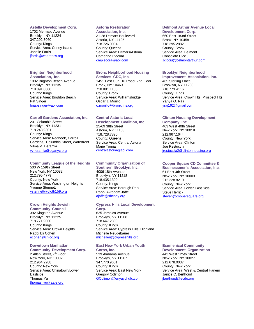#### **Astella Development Corp.**

1702 Mermaid Avenue Brooklyn, NY 11224 347.292.3060 County: Kings Service Area: Coney Island Janelle Farris jfarris@wearebcs.org

## **Brighton Neighborhood**

**Association, Inc.** 1002 Brighton Beach Avenue Brooklyn, NY 11235 718.891.0800 County: Kings Service Area: Brighton Beach Pat Singer [bnapsinger@aol.com](mailto:bnapsinger@aol.com)

## **Carroll Gardens Association, Inc.**

201 Columbia Street Brooklyn, NY 11231 718.243.9301 County: Kings Service Area: Redhook, Carroll Gardens, Columbia Street, Waterfront Vilma V. Heramia [vvheramia@cganyc.org](mailto:vvheramia@cganyc.org)

#### **Community League of the Heights**

500 W 159th Street New York, NY 10032 212.795.4779 County: New York Service Area: Washington Heights Yvonne Stennett [ystennett@cloth159.org](mailto:ystennett@cloth159.org)

## **Crown Heights Jewish**

**Community Council** 392 Kingston Avenue Brooklyn, NY 11225 718.771.9000 County: Kings Service Area: Crown Heights Rabbi Eli Cohen [ecohen@chjcc.org](mailto:ecohen@chjcc.org)

## **Downtown Manhattan**

#### **Community Development Corp.** 2 Allen Street, 7<sup>th</sup> Floor

New York, NY 10002 212.964.2288 County: New York Service Area: Chinatown/Lower Eastside Thomas Yu [thomas\\_yu@aafe.org](mailto:thomas_yu@aafe.org)

## **Astoria Restoration**

**Association, Inc.** 31-28 Ditmars Boulevard Astoria, NY 11105 718.726.0034 County: Queens Service Area: Ditmars/Astoria Catherine Piecora [cmpiecora@aol.com](mailto:cmpiecora@aol.com)

## **Bronx Neighborhood Housing**

**Services CDC, Inc.** 1451 East Gun Hill Road, 2nd Floor Bronx, NY 10469 718.881.1180 County: Bronx Service Area: Williamsbridge Oscar J. Morillo [o.morillo@bronxnhs.org](mailto:o.morillo@bronxnhs.org)

## **Central Astoria Local**

**Development Coalition, Inc.** 25-69 38th Street Astoria, NY 11103 718.728.7820 County: Queens Service Area: Central Astoria Marie Torniali [centralastoria@aol.com](mailto:centralastoria@aol.com)

## **Community Organization of**

**Southern Brooklyn, Inc.** 4006 18th Avenue Brooklyn, NY 11218 718.435.1300 County: Kings Service Area: Borough Park Rabbi Avrohom Jaffe [ajaffe@sbcony.org](mailto:ajaffe@sbcony.org)

#### **Cypress Hills Local Development**

**Corp.** 625 Jamaica Avenue Brooklyn, NY 11208 718.647.2800 County: Kings Service Area: Cypress Hills, Highland Michelle Neugebauer [michellen@cypresshills.org](mailto:michellen@cypresshills.org)

## **East New York Urban Youth**

**Corps, Inc.** 539 Alabama Avenue Brooklyn, NY 11207 347.770.9601 County: Kings Service Area: East New York Gregory Colimon [GColimon@enyuychdfc.com](mailto:GColimon@enyuychdfc.comn)

## **Belmont Arthur Avenue Local**

**Development Corp.** 660 East 183rd Street Bronx, NY 10458 718.295.2882 County: Bronx Service Area: Belmont Consolato Cicciu [Jcicciu@belmontarthur.com](mailto:Jcicciu@belmontarthur.com)

#### **Brooklyn Neighborhood**

**Improvement Association, Inc.** 465 Sterling Place Brooklyn, NY 11238 718.773.4116 County: Kings Service Area: Crown Hts, Prospect Hts Yahya O. Raji [yraj162@gmail.com](mailto:yraj162@gmail.com)

## **Clinton Housing Development**

**Company, Inc.** 403 West 40th Street New York, NY 10018 212.967.1644 County: New York Service Area: Clinton Joe Restuccia [jrestuccia2@clintonhousing.org](mailto:jrestuccia2@clintonhousing.org)

## **Cooper Square CD Committee &**

**Businessmen's Association, Inc.** 61 East 4th Street New York, NY 10003 212.228.8210 County: New York Service Area: Lower East Side Steve Herrick [steveh@coopersquare.org](mailto:steveh@coopersquare.org)

## **Ecumenical Community**

**Development Organization** 443 West 125th Street New York, NY 10027 212.678.0037 County: New York Service Area: West & Central Harlem Janice C. Berthoud [jberthoud@ecdo.org](mailto:jberthoud@ecdo.org)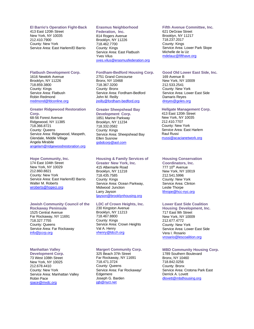#### **El Barrio's Operation Fight-Back**

413 East 120th Street New York, NY 10035 212.410.7900 County: New York Service Area: East Harlem/El Barrio

## **Erasmus Neighborhood**

**Federation, Inc.** 814 Rogers Avenue Brooklyn, NY 11226 718.462.7700 County: Kings Service Area: East Flatbush Yves Vilus [yves.vilus@erasmusfederation.org](mailto:yves.vilus@erasmusfederation.org)

## **Fordham-Bedford Housing Corp.**

2751 Grand Concourse Bronx, NY 10468 718.367.3200 County: Bronx Service Area: Fordham-Bedford John M. Reilly [jreilly@fordham-bedford.org](mailto:jreilly@fordham-bedford.org)

## **Greater Sheepshead Bay**

**Development Corp.** 1851 Marine Parkway Brooklyn, NY 11234 718.332.0582 County: Kings Service Area: Sheepshead Bay Ellen Susnow [gsbdcorp@aol.com](mailto:gsbdcorp@aol.com)

## **Housing & Family Services of**

**Greater New York, Inc.** 415 Albemarle Road Brooklyn, NY 11218 718.435.7585 County: Kings Service Area: Ocean Parkway, Midwood Junction Larry Jayson [ljayson@brooklynhousing.org](mailto:ljayson@brooklynhousing.org)

#### **LDC of Crown Heights, Inc.**

230 Kingston Avenue Brooklyn, NY 11213 718.467.8800 County: Kings Service Area: Crown Heights Val A. Henry vhenry@ldcch.org

#### **Margert Community Corp.**

325 Beach 37th Street Far Rockaway, NY 11691 718.471.3724 County: Queens Service Area: Far Rockaway/ Edgemere Joseph G. Barden [jgb@nyct.net](mailto:jgb@nyct.net)

#### **Fifth Avenue Committee, Inc.** 621 DeGraw Street Brooklyn, NY 11217 718.237.2017 County: Kings Service Area: Lower Park Slope Michelle de la Uz [mdelauz@fifthave.org](mailto:mdelauz@fifthave.org)

#### **Good Old Lower East Side, Inc.**

169 Avenue B New York, NY 10009 212.533.2541 County: New York Service Area: Lower East Side Damaris Reyes dreyes@goles.org

## **Hellgate Management Corp.**

413 East 120th Street New York, NY 10035 212.410.7707 County: New York Service Area: East Harlem Raul Russi [rr](mailto:rrodriguez@promesa.org)ussi@acacianetwork.org

#### **Housing Conservation**

**Coordinators, Inc.** 777 10<sup>th</sup> Avenue New York, NY 10019 212.541.5996 County: New York Service Area: Clinton Leslie Thorpe [lthrope@hcc-nyc.org](mailto:lthrope@hcc-nyc.org)

#### **Lower East Side Coalition**

**Housing Development, Inc.** 717 East 9th Street New York, NY 10009 212.677.4772 County: New York Service Area: Lower East Side Vera I. Rosario [vrosario@lescoalition.org](mailto:koneale@leschd.org)

#### **MBD Community Housing Corp.**

1789 Southern Boulevard Bronx, NY 10460 718.842.0256 County: Bronx Service Area: Crotona Park East Derrick A. Lovett [dlovett@mbdhousing.org](mailto:dlovett@mbdhousing.org)

## **Flatbush Development Corp.**

1616 Newkirk Avenue Brooklyn, NY 11226 718.859.3800 County: Kings Service Area: Flatbush Robin Redmond [rredmond@fdconline.org](mailto:rredmond@fdconline.org)

#### **Greater Ridgewood Restoration Corp.**

68-56 Forest Avenue Ridgewood, NY 11385 718.366.8721 County: Queens Service Area: Ridgewood, Maspeth, Glendale, Middle Village Angela Mirabile [angelam@ridgewoodrestoration.org](mailto:angelam@ridgewoodrestoration.org)

#### **Hope Community, Inc.**

174 East 104th Street New York, NY 10029 212.860.8821 County: New York Service Area: East Harlem/El Barrio Walter M. Roberts [wroberts@hopeci.org](mailto:wroberts@hopeci.org)

#### **Jewish Community Council of the**

**Rockaway Peninsula** 1525 Central Avenue Far Rockaway, NY 11691 718.327.7755 County: Queens Service Area: Far Rockaway [info@jccrp.org](mailto:info@jccrp.org)

#### **Manhattan Valley**

**Development Corp.** 73 West 108th Street New York, NY 10025 212.678.4410 County: New York Service Area: Manhattan Valley Robin Pace [rpace@mvdc.org](mailto:rpace@mvdc.org)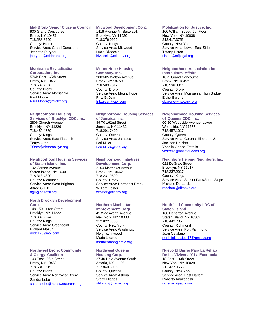#### **Mid-Bronx Senior Citizens Council**

900 Grand Concourse Bronx, NY 10451 718.588.8200 County: Bronx Service Area: Grand Concourse Jeanette Puryear [jpuryear@midbronx.org](mailto:jpuryear@midbronx.org)

## **Morrisania Revitalization**

**Corporation, Inc.** 576B East 165th Street Bronx, NY 10456 718.589.7858 County: Bronx Service Area: Morrisania Paul Moore [Paul.Moore@mrcbx.org](mailto:Paul.Moore@mrcbx.org)

## **Neighborhood Housing**

**Services of Brooklyn CDC, Inc.** 2806 Church Avenue Brooklyn, NY 11226 718.469.4679 County: Kings Service Area: East Flatbush Tonya Ores [TOres@nhsbrooklyn.org](mailto:TOres@nhsbrooklyn.org)

#### **Neighborhood Housing Services**

**of Staten Island, Inc.** 192 Corson Avenue Staten Island, NY 10301 718.313.4890 County: Richmond Service Area: West Brighton Alfred Gill Jr. [agill@nhsofsi.org](mailto:agill@nhsofsi.org)

## **North Brooklyn Development**

**Corp.** 148-150 Huron Street Brooklyn, NY 11222 718.389.9044 County: Kings Service Area: Greenpoint Richard Mazur [nbdc126@aol.com](mailto:nbdc126@aol.com)

#### **Northwest Bronx Community**

**& Clergy Coalition** 103 East 196th Street Bronx, NY 10468 718.584.0515 County: Bronx Service Area: Northwest Bronx Sandra Lobo [sandra.lobo@northwestbronx.org](mailto:sandra.lobo@northwestbronx.org)

## **Midwood Development Corp.**

1416 Avenue M, Suite 201 Brooklyn, NY 11230 718.376.0999 County: Kings Service Area: Midwood Lucia Rivieccio lrivieccio@middev.org

## **Mount Hope Housing**

**Company, Inc.** 2003-05 Walton Avenue Bronx, NY 10453 718.583.7017 County: Bronx Service Area: Mount Hope Fritz G. Jean [fritzgjean@aol.com](mailto:fritzgjean@aol.com)

#### **Neighborhood Housing Services**

**of Jamaica, Inc.** 89-70 162nd Street Jamaica, NY 11432 718.291.7400 County: Queens Service Area: Jamaica Lori Miller [Lori.Miller@nhsj.org](mailto:Lori.Miller@nhsj.org)

#### **Neighborhood Initiatives**

**Development Corp.** 2160 Matthews Avenue Bronx, NY 10462 718.231.9800 County: Bronx Service Area: Northeast Bronx William Foster [wfoster@nidcny.org](mailto:wfoster@nidcny.org)

## **Northern Manhattan**

**Improvement Corp.** 45 Wadsworth Avenue New York, NY 10033 212.822.8300 County: New York Service Area: Washington Heights, Inwood Maria Lizardo [marializardo@nmic.org](mailto:marializardo@nmic.org)

## **Northwest Queens**

**Housing Corp.** 27-40 Hoyt Avenue South Astoria, NY 11105 212.840.8005 County: Queens Service Area: Astoria Stacy Bliagos [sbliagos@hanac.org](mailto:sbliagos@hanac.org)

#### **Mobilization for Justice, Inc.**

100 William Street, 6th Floor New York, NY 10038 212.417.3755 County: New York Service Area: Lower East Side Tiffany Liston tliston@mfjlegal.org

## **Neighborhood Association for**

**Intercultural Affairs** 1075 Grand Concourse Bronx, NY 10452 718.538.3344 County: Bronx Service Area: Morrisania, High Bridge Elvira Barone [ebarone@naicany.org](mailto:ebarone@naicany.org)

#### **Neighborhood Housing Services**

**of Queens CDC, Inc.** 60-20 Woodside Avenue, Lower Woodside, NY 11377 718.457.1017 County: Queens Service Area: Corona, Elmhurst, & Jackson Heights Yoselin Genao-Estrella [yestrella@nhsofqueens.org](mailto:yestrella@nhsofqueens.org)

## **Neighbors Helping Neighbors, Inc.**

621 DeGraw Street Brooklyn, NY 11217 718.237.2017 County: Kings Service Area: Sunset Park/South Slope Michelle De La Uz [mdelauz@fifthave.org](mailto:mdelauz@fifthave.org)

#### **Northfield Community LDC of**

**Staten Island** 160 Heberton Avenue Staten Island, NY 10302 718.442.7351 County: Richmond Service Area: Port Richmond Joan Catalano [northfieldldc.jcat17@gmail.com](mailto:northfieldldc.jcat17@gmail.co)

#### **Nuevo El Barrio Para La Rehab De La Vivienda Y La Economia**

18 East 116th Street New York, NY 10029 212.427.0555 County: New York Service Area: East Harlem Roberto Anazagasti [ranerve1@aol.com](mailto:ranerve1@aol.com)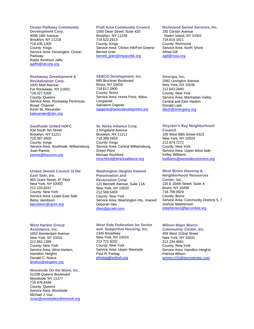## **Ocean Parkway Community**

**Development Corp.** 4006 18th Avenue Brooklyn, NY 11218 718.435.1300 County: Kings Service Area: Kensington, Ocean Parkway Rabbi Avrohom Jaffe [ajaffe@sbcony.org](mailto:ajaffe@sbcony.org)

#### **Rockaway Development &**

**Revitalization Corp.** 1920 Mott Avenue Far Rockaway, NY 11691 718.327.5300 County: Queens Service Area: Rockaway Peninsula, Broad Channel Kevin W. Alexander [kalexander@rdrc.org](mailto:kalexander@rdrc.org)

## **Southside United HDFC**

434 South 5th Street Brooklyn, NY 11211 718.387.3600 County: Kings Service Area: Southside, Williamsburg Juan Ramos [jramos@lossures.org](mailto:jramos@lossures.org)

#### **United Jewish Council of the East Side, Inc.**

465 Grant Street, 4<sup>th</sup> Floor New York, NY 10002 212.233.6037 County: New York Service Area: Lower East Side Betsy Jacobson [bjacobson@ujces.org](mailto:bjacobson@ujces.org)

## **West Harlem Group**

**Assistance, Inc.** 1652 Amsterdam Avenue New York, NY 10031 212.862.1399 County: New York Service Area: West Harlem, Hamilton Heights Donald C. Notice [dnotice@whgainc.org](mailto:dnotice@whgainc.org)

**Woodside On the Move, Inc.** 5123B Queens Boulevard Woodside, NY 11377 718.476.8449 County: Queens Service Area: Woodside Michael J. Vaz [mvaz@woodsideonthemove.org](mailto:mvaz@woodsideonthemove.org)

## **Pratt Area Community Council**

1000 Dean Street, Suite 420 Brooklyn, NY 11238 718.522.2613 County: Kings Service Area: Clinton Hill/Fort Greene Bernell Grier [bernell\\_grier@impacctbk.org](mailto:bernell_grier@impacctbk.org)

#### **SEBCO Development, Inc.**

885 Bruckner Boulevard Bronx, NY 10459 718.617.2800 County: Bronx Service Area: Hunts Point, Aldus, Longwood Salvatore Gigante [sgigante@sebcodevelopment.org](mailto:sgigante@sebcodevelopment.org)

## **St. Nicks Alliance Corp.**

2 Kingsland Avenue Brooklyn, NY 11211 718.388.5454 County: Kings Service Area: Central Williamsburg, Green Point Michael Rochford [mrochford@stnicksalliance.org](mailto:mrochford@stnicksalliance.org)

#### **Washington Heights Inwood Preservation and**

**Restoration Corp.** 121 Bennett Avenue, Suite 11A New York, NY 10033 212.568.5450 County: New York Service Area: Washington Hts, Inwood Deborah Hes [dhes@jccwhi.com](mailto:dhes@jccwhi.com)

## **West Side Federation for Senior**

**and Supportive Housing, Inc.** 2345 Broadway New York, NY 10024 212.721.6032 County: New York Service Area: Upper Westside Paul R. Freitag [pfreitag@wsfssh.org](mailto:pfreitag@wsfssh.org)

## **Richmond Senior Services, Inc.**

192 Corson Avenue Staten Island, NY 10301 718.816.1811 County: Richmond Service Area: North Shore Alfred Gill [agill@rsssi.org](mailto:agill@rsssi.org)

#### **Sinergia, Inc.**

2082 Lexington Avenue New York, NY 10035 212.643.2840 County: New York Service Area: Manhattan Valley, Central and East Harlem Donald Lash [dlash@sinergiany.org](mailto:dlash@sinergiany.org)

## **Strycker's Bay Neighborhood**

**Council** 105 West 86th Street #323 New York, NY 10024 212.874.7272 County: New York Service Area: Upper West Side Kelley Williams [kwilliams@westsidecommons.org](mailto:kwilliams@westsidecommons.org)

#### **West Bronx Housing &**

**Neighborhood Resources Center, Inc.** 220 E 204th Street, Suite A Bronx, NY 10458 718.798.0929 County: Bronx Service Area: Community Districts 5, 7 Joshua Stephenson [jstephenson@bjcconline.org](mailto:jstephenson@bjcconline.org)

## **Wilson Major Morris**

**Community Center, Inc.** 459 West 152nd Street New York, NY 10031 212.234.4661 County: New York Service Area: Hamilton Heights Patricia Wilson [wmmcc152@twcmetrobiz.com](mailto:wmmcc152@twcmetrobiz.com)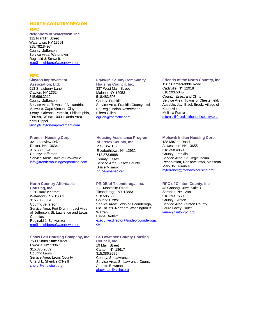## NORTH COUNTRY REGION NPC

**Neighbors of Watertown, Inc.** 112 Franklin Street Watertown, NY 13601 315.782.8497 County: Jefferson Service Area: Watertown Reginald J. Schweitzer [reg@neighborsofwatertown.com](mailto:reg@neighborsofwatertown.com)

## RPC

## **Clayton Improvement**

**Association, Ltd.** 913 Strawberry Lane Clayton, NY 13624 315.686.3212 County: Jefferson Service Area: Towns of Alexandria, Antwerp, Cape Vincent, Clayton, Leray, Orleans, Pamelia, Philadelphia, Teresa, Wilna; 1000 Islands Area Kristi Dippel [kristi@clayton-improvement.com](mailto:kristi@clayton-improvement.com)

## **Frontier Housing Corp.**

321 Lakeview Drive Dexter, NY 13634 315.639.3940 County: Jefferson Service Area: Town of Brownville info@frontierhousingcorporation.com

## **North Country Affordable**

**Housing, Inc.** 118 Franklin Street Watertown, NY 13601 315.785.8684 County: Jefferson Service Area: Fort Drum Impact Area of Jefferson, St. Lawrence and Lewis Counties Reginald J. Schweitzer [reg@neighborsofwatertown.com](mailto:reg@neighborsofwatertown.com)

## **Snow Belt Housing Company, Inc.**

7500 South State Street Lowville, NY 13367 315.376.2639 County: Lewis Service Area: Lewis County Cheryl L. Shenkle-O'Neill [cheryl@snowbelt.org](mailto:cheryl@snowbelt.org)

## **Franklin County Community**

**Housing Council, Inc.** 337 West Main Street Malone, NY 12953 518.483.5934 County: Franklin Service Area: Franklin County excl. St. Regis Indian Reservation Eileen Gillen [egillen@thefcchc.com](mailto:egillen@thefcchc.com)

## **Housing Assistance Program**

**of Essex County, Inc.** P.O. Box 157 Elizabethtown, NY 12932 518.873.6888 County: Essex Service Area: Essex County Bruce Misarski [bruce@hapec.org](mailto:bruce@hapec.org)

## **PRIDE of Ticonderoga, Inc.**

111 Montcalm Street Ticonderoga, NY 12883 518.585.6366 County: Essex Service Area: Town of Ticonderoga, Counties -Northern Washington & Warren Elisha Bartlett [executive.director@prideofticonderoga.](mailto:executive.director@prideofticonderoga.org) [org](mailto:executive.director@prideofticonderoga.org)

#### **St. Lawrence County Housing**

**Council, Inc.** 19 Main Street Canton, NY 13617 315.386.8576 County: St. Lawrence Service Area: St. Lawrence County Annette Bowman [abowman@slchc.org](mailto:abowman@slchc.org)

## **Friends of the North Country, Inc.**

1387 Hardscrabble Road Cadyville, NY 12918 518.293.5045 County: Essex and Clinton Service Area: Towns of Chesterfield, Ausable, Jay, Black Brook; Village of Keeseville Melissa Furnia [mfurnia@friendsofthenorthcountry.org](mailto:mfurnia@friendsofthenorthcountry.org)

## **Mohawk Indian Housing Corp.**

188 McGee Road Akwesasne, NY 13655 518.358.4860 County: Franklin Service Area: St. Regis Indian Reservation, Rooseveltown, Massena Mary Jo Terrance [mjterrance@mohawkhousing.org](mailto:mjterrance@mohawkhousing.org)

#### **RPC of Clinton County, Inc.**

48 Ganong Drive, Suite 1 Saranac, NY 12981 518.293.7569 County: Clinton Service Area: Clinton County Laura Lacey Curler [laura@clintonrpc.org](mailto:laura@clintonrpc.org)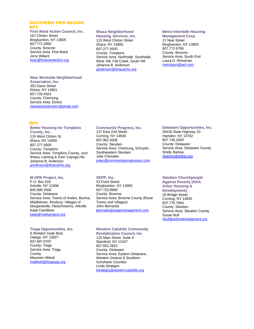## SOUTHERN TIER REGION NPC

## **First Ward Action Council, Inc.** 167 Clinton Street

Binghamton, NY 13905 607.772.2850 County: Broome Service Area: First Ward Jerry Willard [fwac@firstwardaction.org](mailto:fwac@firstwardaction.org)

#### **Near Westside Neighborhood**

**Association, Inc.** 353 Davis Street Elmira, NY 14901 607.733.4924 County: Chemung Service Area: Elmira nearwestsidenainc@gmail.com

## **Ithaca Neighborhood**

**Housing Services, Inc.** 115 West Clinton Street Ithaca, NY 14850 607.277.4500 County: Tompkins Service Area: Northside, Southside, West Hill, Fall Creek, South Hill Johanna B. Anderson [janderson@ithacanhs.org](mailto:janderson@ithacanhs.org)

## **Metro Interfaith Housing**

**Management Corp.** 21 New Street Binghamton, NY 13903 607.772.6766 County: Broome Service Area: South End Laura D. Rhinehart [metrolauri@aol.com](mailto:metrolauri@aol.com)

## RPC

**Better Housing for Tompkins County, Inc.** 115 West Clinton St. Ithaca, NY 14850 607.277.4500 County: Tompkins Service Area: Tompkins County, excl. Ithaca, Lansing & East Cayuga Hts Johanna B. Anderson [janderson@ithacanhs.org](mailto:janderson@ithacanhs.org)

#### **M-ARK Project, Inc.**

P.O. Box 516 Arkville, NY 12406 845.586.3500 County: Delaware Service Area: Towns of Andes, Bovina, Middletown, Roxbury; Villages of Margaretville, Fleischmanns, Arkville Katie Camillone [katie@markproject.org](mailto:katie@markproject.org)

#### **Tioga Opportunities, Inc.**

9 Sheldon Guile Blvd. Owego, NY 13827 607.687.0707 County: Tioga Service Area: Tioga **County** Maureen Abbott [mabbott@tiogaopp.org](mailto:mabbott@tiogaopp.org)

## **Community Progress, Inc.**

147 East 2nd Street Corning, NY 14830 607.962.3506 County: Steuben Service Area: Chemung, Schuyler, Southeastern Steuben Julie Chevalier [juliec@communityprogressinc.com](mailto:juliec@communityprogressinc.com)

## **SEPP, Inc.**

53 Front Street Binghamton, NY 13905 607.723.8989 County: Broome Service Area: Broome County (Rural Towns and Villages) John Bernardo [jbernado@seppmanagement.com](mailto:jbernado@seppmanagement.com)

#### **Western Catskills Community Revitalization Council, Inc.** 125 Main Street, Suite A Stamford, NY 12167 607.652.2823 County: Delaware Service Area: Eastern Delaware, Western Greene & Southern Schoharie Counties Linda Stratigos [lstratigos@westerncatskills.org](mailto:lstratigos@westerncatskills.org)

## **Delaware Opportunities, Inc.**

35430 State Highway 10 Hamden, NY 13782 607.746.1600 County: Delaware Service Area: Delaware County Shelly Bartow sbartow@delop.org

#### **Steuben Churchpeople Against Poverty (AKA Arbor Housing & Development)** 26 Bridge Street Corning, NY 14830 607.776.7664 County: Steuben Service Area: Steuben County Susan Bull [sbull@arbordevelopment.org](mailto:sbull@arbordevelopment.org)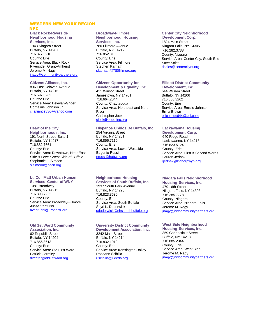## WESTERN NEW YORK REGION NPC

**Black Rock-Riverside Neighborhood Housing Services, Inc.** 1943 Niagara Street Buffalo, NY 14207 716.877.3910 County: Erie Service Area: Black Rock, Riverside, Grant-Amherst Jerome M. Nagy [jnagy@communitypartners.org](mailto:jnagy@communitypartners.org)

#### **Citizens Alliance, Inc.**

836 East Delavan Avenue Buffalo, NY 14215 716.597.0262 County: Erie Service Area: Delevan-Grider Cornelius Johnson Jr. [c\\_alliance836@yahoo.com](mailto:c_alliance836@yahoo.com)

## **Heart of the City**

**Neighborhoods, Inc.** 191 North Street, Suite 1 Buffalo, NY 14217 716.882.7661 County: Erie Service Area: Downtown, Near East Side & Lower West Side of Buffalo Stephanie J. Simeon [s.simeon@hocn.org](mailto:s.simeon@hocn.org)

## **Lt. Col. Matt Urban Human**

**Services Center of WNY** 1081 Broadway Buffalo, NY 14212 716.893.7222 County: Erie Service Area: Broadway-Fillmore Alissa Venturini [aventurini@urbanctr.org](mailto:aventurini@urbanctr.org)

## **Old 1st Ward Community**

**Association, Inc.** 62 Republic Street Buffalo, NY 14204 716.856.8613 County: Erie Service Area: Old First Ward Patrick Gormley [director@old1stward.org](mailto:director@old1stward.org)

## **Broadway-Fillmore**

**Neighborhood Housing Services, Inc.** 780 Fillmore Avenue Buffalo, NY 14212 716.852.3130 County: Erie Service Area: Fillmore Stephen Karnath [skarnath@780fillmore.org](mailto:skarnath@780fillmore.org)

## **Citizens Opportunity for**

**Development & Equality, Inc.** 411 Winsor Street Jamestown, NY 14701 716.664.2044 County: Chautauqua Service Area: Northeast and North River Christopher Jock [cjock@code-inc.org](mailto:cjock@code-inc.org)

## **Hispanos Unidos De Buffalo, Inc.**

254 Virginia Street Buffalo, NY 14201 716.856.7110 County: Erie Service Area: Lower Westside Eugenio Russi [erussi@hubwny.org](mailto:erussi@hubwny.org)

## **Neighborhood Housing**

**Services of South Buffalo, Inc.** 1937 South Park Avenue Buffalo, NY 14220 716.823.3630 County: Erie Service Area: South Buffalo Shyrl L. Duderwick [sduderwick@nhssouthbuffalo.org](mailto:sduderwick@nhssouthbuffalo.org)

## **University District Community**

**Development Association, Inc.** 3242 Main Street Buffalo, NY 14214 716.832.1010 County: Erie Service Area: Kensington-Bailey Roseann Scibilia [r.scibilia@udcda.org](mailto:r.scibilia@udcda.org)

## **Center City Neighborhood**

**Development Corp.** 1824 Main Street Niagara Falls, NY 14305 716.282.3738 County: Niagara Service Area: Center City, South End Save Soles [dsoles@centercitynf.org](mailto:dsoles@centercitynf.org)

## **Ellicott District Community**

**Development, Inc.** 644 William Street Buffalo, NY 14206 716.856.3262 County: Erie Service Area: Emslie-Johnson Erma Brown [ellicottcdc644@aol.com](mailto:ellicottcdc644@aol.com)

#### **Lackawanna Housing**

**Development Corp.** 640 Ridge Road Lackawanna, NY 14218 716.823.5124 County: Erie Service Area: First & Second Wards Lauren Jednak ljednak@lhdcorpwyn.org

## **Niagara Falls Neighborhood**

**Housing Services, Inc.** 479 16th Street Niagara Falls, NY 14303 716.285.7778 County: Niagara Service Area: Niagara Falls Jerome M. Nagy [jnagy@nwcommunitypartners.org](mailto:jnagy@nwcommunitypartners.org)

## **West Side Neighborhood**

**Housing Services, Inc.** 359 Connecticut Street Buffalo, NY 14213 716.885.2344 County: Erie Service Area: West Side Jerome M. Nagy [jnagy@nwcommunitypartners.org](mailto:jnagy@nwcommunitypartners.org)